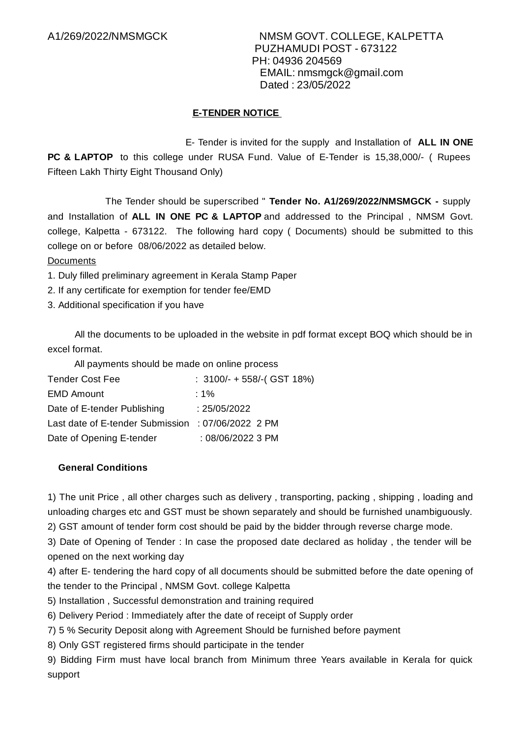### **E-TENDER NOTICE**

E- Tender is invited for the supply and Installation of **ALL IN ONE PC & LAPTOP** to this college under RUSA Fund. Value of E-Tender is 15,38,000/- ( Rupees Fifteen Lakh Thirty Eight Thousand Only)

The Tender should be superscribed " **Tender No. A1/269/2022/NMSMGCK -** supply and Installation of **ALL IN ONE PC & LAPTOP** and addressed to the Principal , NMSM Govt. college, Kalpetta - 673122. The following hard copy ( Documents) should be submitted to this college on or before 08/06/2022 as detailed below.

Documents

1. Duly filled preliminary agreement in Kerala Stamp Paper

2. If any certificate for exemption for tender fee/EMD

3. Additional specification if you have

All the documents to be uploaded in the website in pdf format except BOQ which should be in excel format.

All payments should be made on online process

| <b>Tender Cost Fee</b>                             | : $3100/- + 558/-($ GST 18%) |
|----------------------------------------------------|------------------------------|
| <b>EMD Amount</b>                                  | : 1%                         |
| Date of E-tender Publishing                        | : 25/05/2022                 |
| Last date of E-tender Submission : 07/06/2022 2 PM |                              |
| Date of Opening E-tender                           | $:08/06/20223$ PM            |

#### **General Conditions**

1) The unit Price , all other charges such as delivery , transporting, packing , shipping , loading and unloading charges etc and GST must be shown separately and should be furnished unambiguously.

2) GST amount of tender form cost should be paid by the bidder through reverse charge mode.

3) Date of Opening of Tender : In case the proposed date declared as holiday , the tender will be opened on the next working day

4) after E- tendering the hard copy of all documents should be submitted before the date opening of the tender to the Principal , NMSM Govt. college Kalpetta

5) Installation , Successful demonstration and training required

6) Delivery Period : Immediately after the date of receipt of Supply order

7) 5 % Security Deposit along with Agreement Should be furnished before payment

8) Only GST registered firms should participate in the tender

9) Bidding Firm must have local branch from Minimum three Years available in Kerala for quick support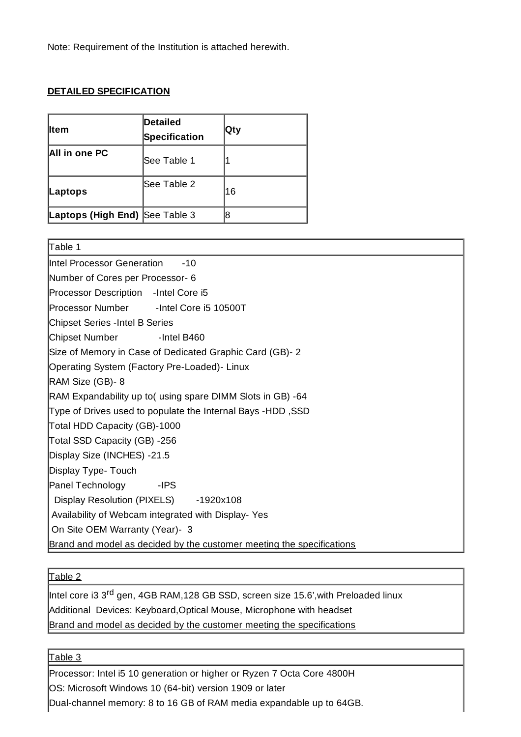Note: Requirement of the Institution is attached herewith.

#### **DETAILED SPECIFICATION**

| <b>I</b> tem                   | Detailed<br>Specification | ∣Qty |
|--------------------------------|---------------------------|------|
| <b>All in one PC</b>           | <b>See Table 1</b>        |      |
| Laptops                        | See Table 2               | 16   |
| Laptops (High End) See Table 3 |                           |      |

| Table 1                                                               |
|-----------------------------------------------------------------------|
| Intel Processor Generation<br>$-10$                                   |
| Number of Cores per Processor- 6                                      |
| Processor Description - Intel Core i5                                 |
| Processor Number - Intel Core i5 10500T                               |
| Chipset Series - Intel B Series                                       |
| Chipset Number<br>-Intel B460                                         |
| Size of Memory in Case of Dedicated Graphic Card (GB)-2               |
| Operating System (Factory Pre-Loaded) - Linux                         |
| RAM Size (GB)-8                                                       |
| RAM Expandability up to (using spare DIMM Slots in GB) -64            |
| Type of Drives used to populate the Internal Bays -HDD, SSD           |
| Total HDD Capacity (GB)-1000                                          |
| Total SSD Capacity (GB) -256                                          |
| Display Size (INCHES) -21.5                                           |
| Display Type- Touch                                                   |
| Panel Technology<br>-IPS                                              |
| Display Resolution (PIXELS) -1920x108                                 |
| Availability of Webcam integrated with Display-Yes                    |
| On Site OEM Warranty (Year)- 3                                        |
| Brand and model as decided by the customer meeting the specifications |

## Table 2

Intel core i3 3<sup>rd</sup> gen, 4GB RAM,128 GB SSD, screen size 15.6',with Preloaded linux Additional Devices: Keyboard,Optical Mouse, Microphone with headset Brand and model as decided by the customer meeting the specifications

 $\mathsf{\mathsf{\mathsf{Table}3}}$ 

Processor: Intel i5 10 generation or higher or Ryzen 7 Octa Core 4800H OS: Microsoft Windows 10 (64-bit) version 1909 or later

Dual-channel memory: 8 to 16 GB of RAM media expandable up to 64GB.